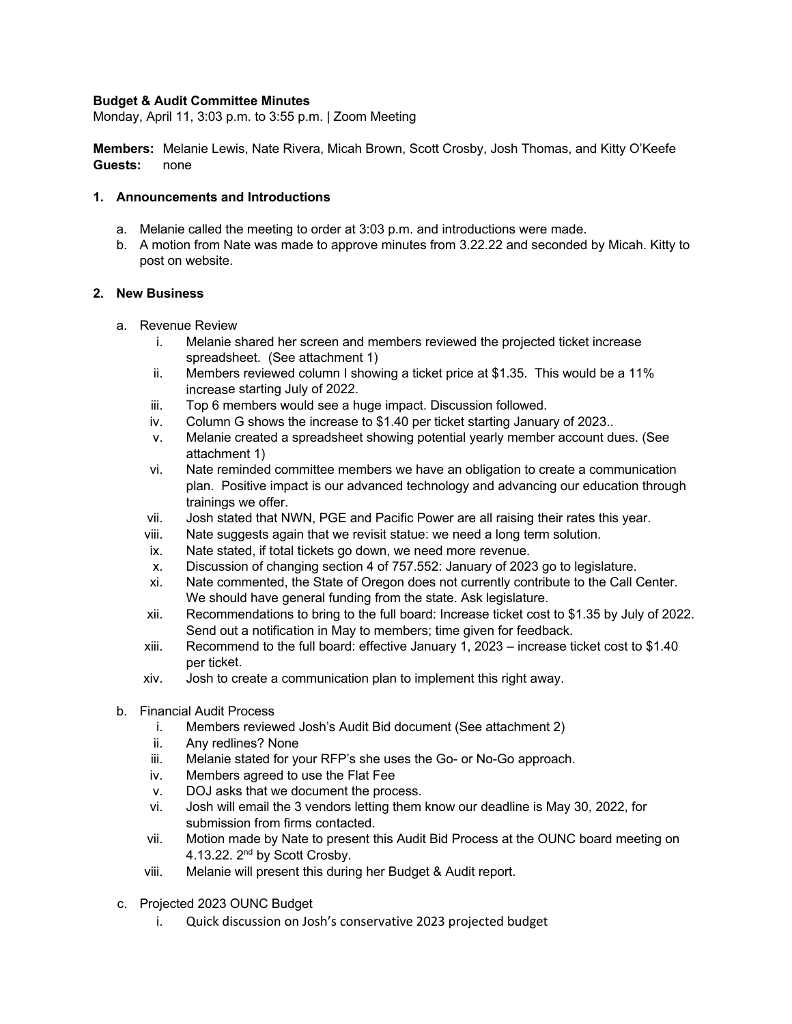### **Budget & Audit Committee Minutes**

Monday, April 11, 3:03 p.m. to 3:55 p.m. | Zoom Meeting

**Members:** Melanie Lewis, Nate Rivera, Micah Brown, Scott Crosby, Josh Thomas, and Kitty O'Keefe **Guests:** none

#### **1. Announcements and Introductions**

- a. Melanie called the meeting to order at 3:03 p.m. and introductions were made.
- b. A motion from Nate was made to approve minutes from 3.22.22 and seconded by Micah. Kitty to post on website.

#### **2. New Business**

- a. Revenue Review
	- i. Melanie shared her screen and members reviewed the projected ticket increase spreadsheet. (See attachment 1)
	- ii. Members reviewed column I showing a ticket price at \$1.35. This would be a 11% increase starting July of 2022.
	- iii. Top 6 members would see a huge impact. Discussion followed.
	- iv. Column G shows the increase to \$1.40 per ticket starting January of 2023..
	- v. Melanie created a spreadsheet showing potential yearly member account dues. (See attachment 1)
	- vi. Nate reminded committee members we have an obligation to create a communication plan. Positive impact is our advanced technology and advancing our education through trainings we offer.
	- vii. Josh stated that NWN, PGE and Pacific Power are all raising their rates this year.
	- viii. Nate suggests again that we revisit statue: we need a long term solution.
	- ix. Nate stated, if total tickets go down, we need more revenue.
	- x. Discussion of changing section 4 of 757.552: January of 2023 go to legislature.
	- xi. Nate commented, the State of Oregon does not currently contribute to the Call Center. We should have general funding from the state. Ask legislature.
	- xii. Recommendations to bring to the full board: Increase ticket cost to \$1.35 by July of 2022. Send out a notification in May to members; time given for feedback.
	- xiii. Recommend to the full board: effective January 1, 2023 increase ticket cost to \$1.40 per ticket.
	- xiv. Josh to create a communication plan to implement this right away.
- b. Financial Audit Process
	- i. Members reviewed Josh's Audit Bid document (See attachment 2)
	- ii. Any redlines? None
	- iii. Melanie stated for your RFP's she uses the Go- or No-Go approach.
	- iv. Members agreed to use the Flat Fee
	- v. DOJ asks that we document the process.
	- vi. Josh will email the 3 vendors letting them know our deadline is May 30, 2022, for submission from firms contacted.
	- vii. Motion made by Nate to present this Audit Bid Process at the OUNC board meeting on 4.13.22. 2<sup>nd</sup> by Scott Crosby.
	- viii. Melanie will present this during her Budget & Audit report.
- c. Projected 2023 OUNC Budget
	- i. Quick discussion on Josh's conservative 2023 projected budget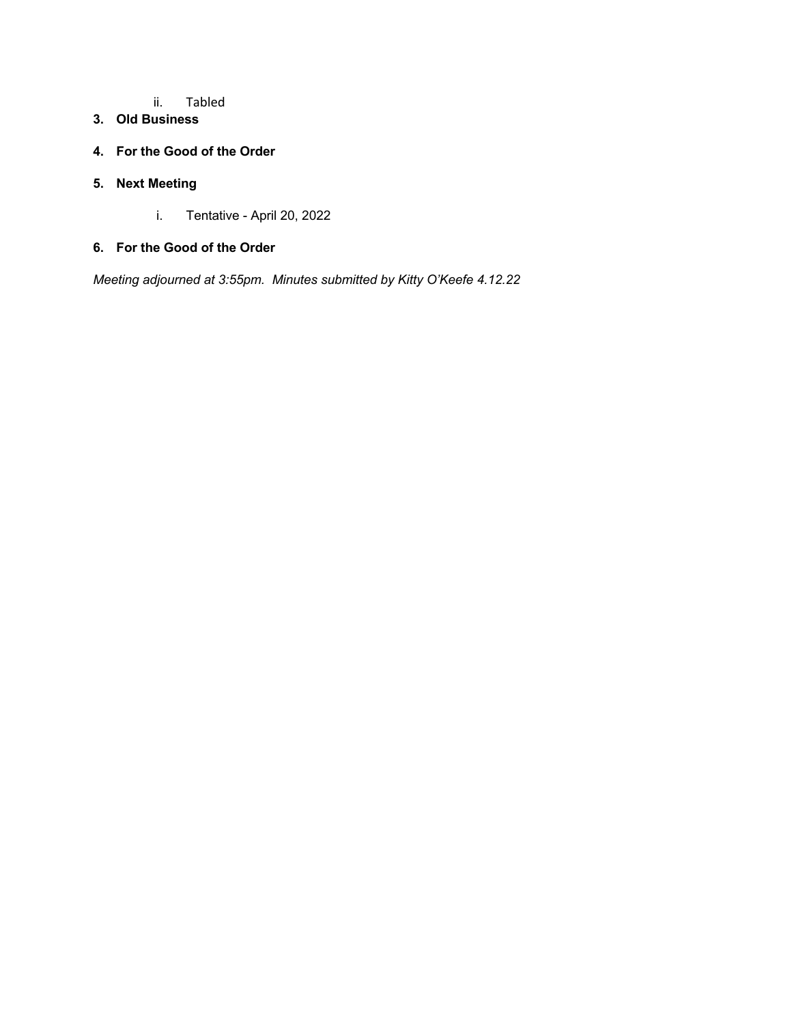#### ii. Tabled

### **3. Old Business**

### **4. For the Good of the Order**

### **5. Next Meeting**

i. Tentative - April 20, 2022

### **6. For the Good of the Order**

*Meeting adjourned at 3:55pm. Minutes submitted by Kitty O'Keefe 4.12.22*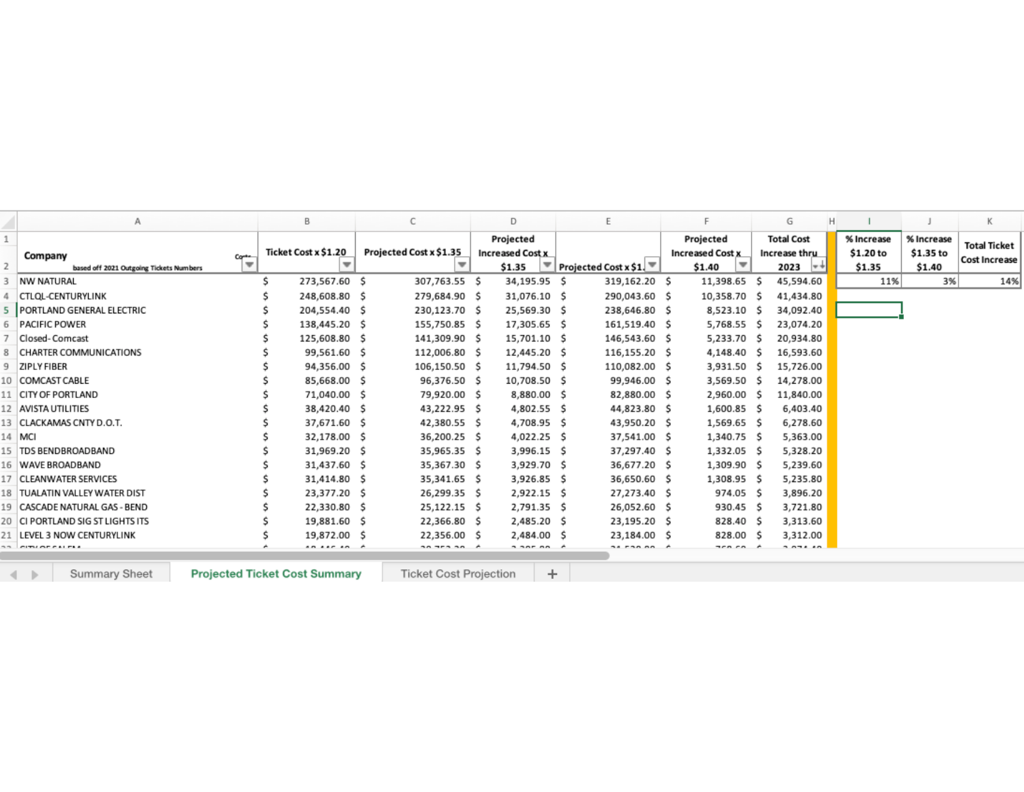|      |                                                    |        | B                    | С                       | D                                              | E                     | F                                              | G<br>H                                           |                                   |                                   | Κ                                    |
|------|----------------------------------------------------|--------|----------------------|-------------------------|------------------------------------------------|-----------------------|------------------------------------------------|--------------------------------------------------|-----------------------------------|-----------------------------------|--------------------------------------|
|      | Company<br>based off 2021 Outgoing Tickets Numbers | Corte- | Ticket Cost x \$1.20 | Projected Cost x \$1.35 | Projected<br><b>Increased Cost x</b><br>\$1.35 | Projected Cost x \$1. | Projected<br><b>Increased Cost x</b><br>\$1.40 | <b>Total Cost</b><br>Increase thru<br>$2023$ $+$ | % Increase<br>\$1.20 to<br>\$1.35 | % Increase<br>\$1.35 to<br>\$1.40 | Total Ticket<br><b>Cost Increase</b> |
|      | NW NATURAL                                         |        | 273,567.60 \$        | 307,763.55 \$           | 34,195.95 \$                                   | 319,162.20 \$         | 11,398.65 \$                                   | 45,594.60                                        | 11%                               | 3%                                | 14%                                  |
|      | <b>CTLQL-CENTURYLINK</b>                           |        | 248,608.80 \$        | 279,684.90 \$           | 31,076.10 \$                                   | 290,043.60 \$         | 10,358.70 \$                                   | 41,434.80                                        |                                   |                                   |                                      |
|      | <b>PORTLAND GENERAL ELECTRIC</b>                   |        | 204,554.40 \$        | 230,123.70 \$           | 25,569.30 \$                                   | 238,646.80 \$         | 8,523.10 \$                                    | 34,092.40                                        |                                   |                                   |                                      |
| 6    | <b>PACIFIC POWER</b>                               |        | 138,445.20 \$        | 155,750.85 \$           | 17,305.65 \$                                   | 161,519.40 \$         | 5,768.55 \$                                    | 23,074.20                                        |                                   |                                   |                                      |
|      | Closed-Comcast                                     |        | 125,608.80 \$        | 141,309.90 \$           | 15,701.10 \$                                   | 146,543.60 \$         | 5,233.70 \$                                    | 20,934.80                                        |                                   |                                   |                                      |
| 8    | <b>CHARTER COMMUNICATIONS</b>                      |        | 99,561.60 \$         | 112,006.80 \$           | 12,445.20 \$                                   | 116,155.20 \$         | 4,148.40 \$                                    | 16,593.60                                        |                                   |                                   |                                      |
| 9    | ZIPLY FIBER                                        |        | 94,356.00 \$         | 106,150.50 \$           | 11,794.50 \$                                   | 110,082.00 \$         | 3,931.50 \$                                    | 15,726.00                                        |                                   |                                   |                                      |
|      | COMCAST CABLE                                      |        | 85,668.00 \$         | 96,376.50 \$            | 10,708.50 \$                                   | 99,946.00 S           | 3,569.50 \$                                    | 14,278.00                                        |                                   |                                   |                                      |
|      | <b>CITY OF PORTLAND</b>                            |        | 71,040.00 \$         | 79,920.00 \$            | 8,880.00 \$                                    | 82,880.00 \$          | 2,960.00 \$                                    | 11,840.00                                        |                                   |                                   |                                      |
|      | <b>AVISTA UTILITIES</b>                            |        | 38,420.40 \$         | 43,222.95 \$            | 4,802.55 \$                                    | 44,823.80 \$          | 1,600.85 \$                                    | 6,403.40                                         |                                   |                                   |                                      |
| 13.  | CLACKAMAS CNTY D.O.T.                              |        | 37,671.60 \$         | 42,380.55 \$            | 4,708.95 \$                                    | 43,950.20 \$          | 1,569.65 \$                                    | 6,278.60                                         |                                   |                                   |                                      |
| 14   | MCI                                                |        | 32,178.00 \$         | 36,200.25 \$            | 4,022.25 \$                                    | 37,541.00 \$          | 1,340.75 \$                                    | 5,363.00                                         |                                   |                                   |                                      |
| 15   | <b>TDS BENDBROADBAND</b>                           |        | 31,969.20 \$         | 35,965.35 \$            | 3,996.15 \$                                    | 37,297.40 \$          | 1,332.05 \$                                    | 5,328.20                                         |                                   |                                   |                                      |
| 16   | WAVE BROADBAND                                     |        | 31,437.60 \$         | 35,367.30 \$            | 3,929.70 \$                                    | 36,677.20 \$          | 1,309.90 \$                                    | 5,239.60                                         |                                   |                                   |                                      |
|      | <b>CLEANWATER SERVICES</b>                         |        | 31,414.80 \$         | 35,341.65 \$            | 3,926.85 \$                                    | 36,650.60 \$          | 1,308.95 \$                                    | 5,235.80                                         |                                   |                                   |                                      |
|      | <b>TUALATIN VALLEY WATER DIST</b>                  |        | 23,377.20 \$         | 26,299.35 \$            | 2,922.15 \$                                    | 27,273.40 \$          | 974.05 \$                                      | 3,896.20                                         |                                   |                                   |                                      |
|      | CASCADE NATURAL GAS - BEND                         |        | 22,330.80 \$         | 25,122.15 \$            | 2,791.35 \$                                    | 26,052.60 \$          | 930.45 \$                                      | 3,721.80                                         |                                   |                                   |                                      |
| 20.  | CI PORTLAND SIG ST LIGHTS ITS                      |        | 19,881.60 \$         | 22,366.80 \$            | 2,485.20 \$                                    | 23,195.20 \$          | 828.40 \$                                      | 3,313.60                                         |                                   |                                   |                                      |
|      | LEVEL 3 NOW CENTURYLINK                            |        | 19,872.00 \$         | 22,356.00 \$            | 2,484.00 \$                                    | 23,184.00 \$          | 828.00 \$                                      | 3,312.00                                         |                                   |                                   |                                      |
| $-1$ | <b>CITY OF FALTAS</b>                              |        |                      | 20.75222                | $\ddot{\phantom{a}}$ and $\ddot{\phantom{a}}$  | $22 - 22 - 22$        | $T0 \sim$                                      | $A B B B$                                        |                                   |                                   |                                      |

Summary Sheet

 $4 - 1$ 

**Projected Ticket Cost Summary** 

Ticket Cost Projection  $+$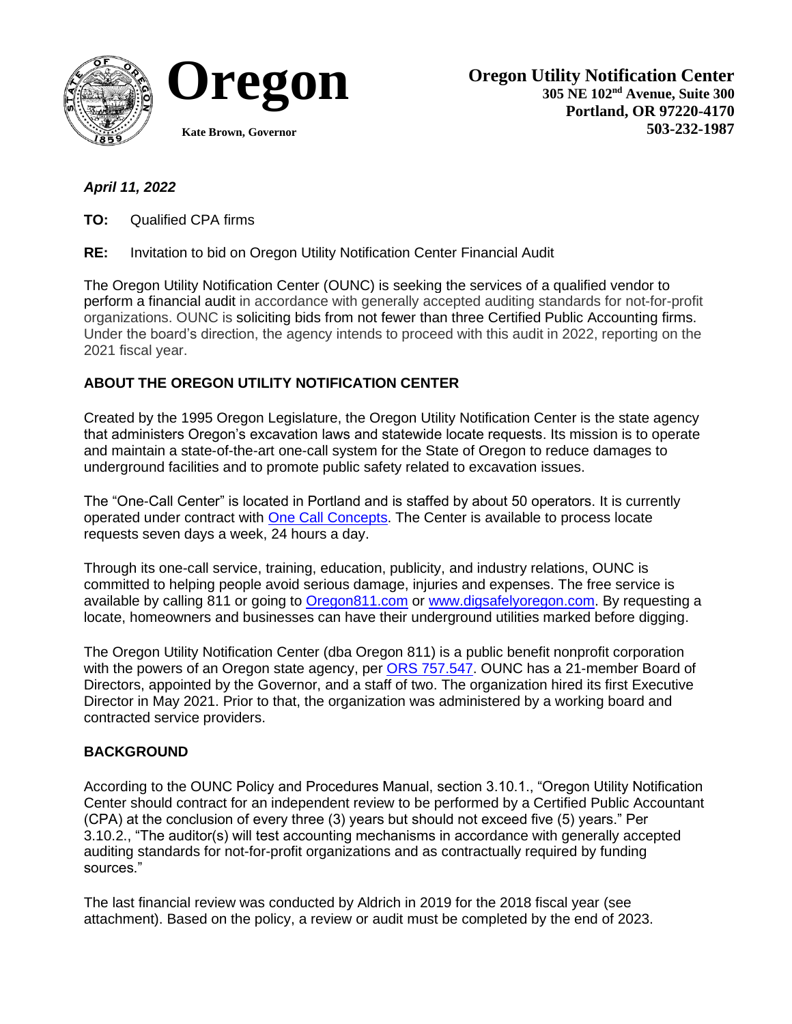



# *April 11, 2022*

**TO:** Qualified CPA firms

**RE:** Invitation to bid on Oregon Utility Notification Center Financial Audit

The Oregon Utility Notification Center (OUNC) is seeking the services of a qualified vendor to perform a financial audit in accordance with generally accepted auditing standards for not-for-profit organizations. OUNC is soliciting bids from not fewer than three Certified Public Accounting firms. Under the board's direction, the agency intends to proceed with this audit in 2022, reporting on the 2021 fiscal year.

# **ABOUT THE OREGON UTILITY NOTIFICATION CENTER**

Created by the 1995 Oregon Legislature, the Oregon Utility Notification Center is the state agency that administers Oregon's excavation laws and statewide locate requests. Its mission is to operate and maintain a state-of-the-art one-call system for the State of Oregon to reduce damages to underground facilities and to promote public safety related to excavation issues.

The "One-Call Center" is located in Portland and is staffed by about 50 operators. It is currently operated under contract with [One Call Concepts.](https://occinc.com/) The Center is available to process locate requests seven days a week, 24 hours a day.

Through its one-call service, training, education, publicity, and industry relations, OUNC is committed to helping people avoid serious damage, injuries and expenses. The free service is available by calling 811 or going to [Oregon811.com](https://digsafelyoregon.com/) or [www.digsafelyoregon.com.](http://www.digsafelyoregon.com/) By requesting a locate, homeowners and businesses can have their underground utilities marked before digging.

The Oregon Utility Notification Center (dba Oregon 811) is a public benefit nonprofit corporation with the powers of an Oregon state agency, per **ORS 757.547**. OUNC has a 21-member Board of Directors, appointed by the Governor, and a staff of two. The organization hired its first Executive Director in May 2021. Prior to that, the organization was administered by a working board and contracted service providers.

## **BACKGROUND**

According to the OUNC Policy and Procedures Manual, section 3.10.1., "Oregon Utility Notification Center should contract for an independent review to be performed by a Certified Public Accountant (CPA) at the conclusion of every three (3) years but should not exceed five (5) years." Per 3.10.2., "The auditor(s) will test accounting mechanisms in accordance with generally accepted auditing standards for not-for-profit organizations and as contractually required by funding sources."

The last financial review was conducted by Aldrich in 2019 for the 2018 fiscal year (see attachment). Based on the policy, a review or audit must be completed by the end of 2023.